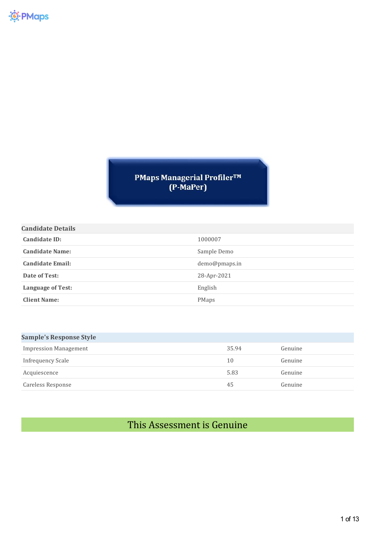PMaps Managerial Profiler™<br>(P-MaPer)

| <b>Candidate Details</b> |               |
|--------------------------|---------------|
| Candidate ID:            | 1000007       |
| <b>Candidate Name:</b>   | Sample Demo   |
| <b>Candidate Email:</b>  | demo@pmaps.in |
| Date of Test:            | 28-Apr-2021   |
| <b>Language of Test:</b> | English       |
| <b>Client Name:</b>      | <b>PMaps</b>  |

| <b>Sample's Response Style</b> |       |         |
|--------------------------------|-------|---------|
| <b>Impression Management</b>   | 35.94 | Genuine |
| Infrequency Scale              | 10    | Genuine |
| Acquiescence                   | 5.83  | Genuine |
| Careless Response              | 45    | Genuine |

# This Assessment is Genuine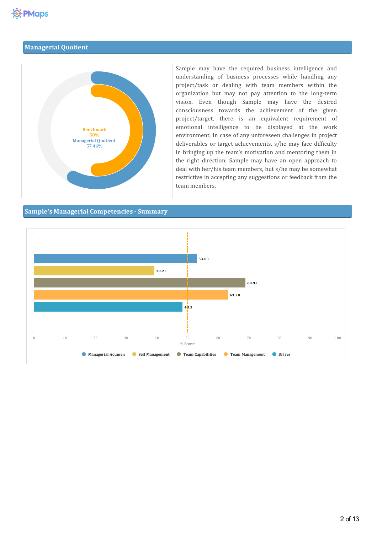# **Managerial Quotient**



Sample may have the required business intelligence and understanding of business processes while handling any project/task or dealing with team members within the organization but may not pay attention to the long-term vision. Even though Sample may have the desired consciousness towards the achievement of the given project/target, there is an equivalent requirement of emotional intelligence to be displayed at the work environment. In case of any unforeseen challenges in project deliverables or target achievements, s/he may face difficulty in bringing up the team's motivation and mentoring them in the right direction. Sample may have an open approach to deal with her/his team members, but s/he may be somewhat restrictive in accepting any suggestions or feedback from the team members.

### **Sample's Managerial Competencies- Summary**

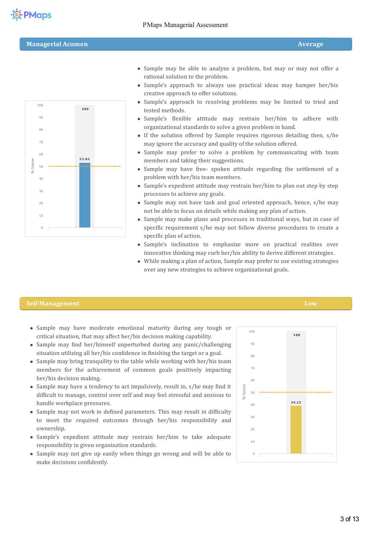rational solution to the problem.



- Sample's approach to always use practical ideas may hamper her/his creative approach to offer solutions.
- Sample's approach to resolving problems may be limited to tried and tested methods.
- Sample's flexible attitude may restrain her/him to adhere with organizational standards to solve a given problem in hand.
- If the solution offered by Sample requires rigorous detailing then, s/he may ignore the accuracy and quality of the solution offered.
- Sample may prefer to solve a problem by communicating with team members and taking their suggestions.
- Sample may have free- spoken attitude regarding the settlement of a problem with her/his team members.
- Sample's expedient attitude may restrain her/him to plan out step by step processes to achieve any goals.
- Sample may not have task and goal oriented approach, hence, s/he may not be able to focus on details while making any plan of action.
- Sample may make plans and processes in traditional ways, but in case of specific requirement s/he may not follow diverse procedures to create a specific plan of action.
- Sample's inclination to emphasize more on practical realities over innovative thinking may curb her/his ability to derive different strategies.
- While making a plan of action, Sample may prefer to use existing strategies over any new strategies to achieve organizational goals.

#### **Self Management Low**

- Sample may have moderate emotional maturity during any tough or critical situation, that may affect her/his decision making capability.
- Sample may find her/himself unperturbed during any panic/challenging situation utilizing all her/his confidence in finishing the target or a goal.
- Sample may bring tranquility to the table while working with her/his team members for the achievement of common goals positively impacting her/his decision making.
- Sample may have a tendency to act impulsively, result in, s/he may find it difficult to manage, control over self and may feel stressful and anxious to handle workplace pressures.
- Sample may not work in defined parameters. This may result in difficulty to meet the required outcomes through her/his responsibility and ownership.
- Sample's expedient attitude may restrain her/him to take adequate responsibility in given organization standards.
- Sample may not give up easily when things go wrong and will be able to make decisions confidently.

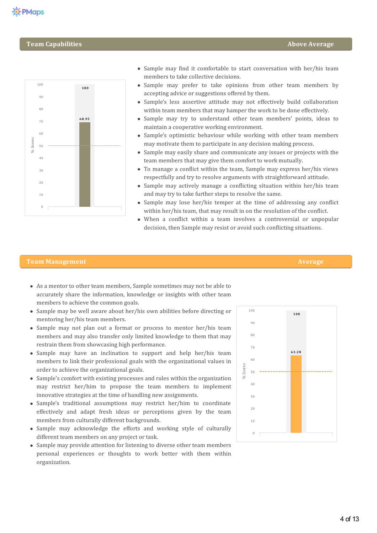# **Team Capabilities Above Average**



- Sample may find it comfortable to start conversation with her/his team members to take collective decisions.
- Sample may prefer to take opinions from other team members by accepting advice or suggestions offered by them.
- Sample's less assertive attitude may not effectively build collaboration within team members that may hamper the work to be done effectively.
- Sample may try to understand other team members' points, ideas to maintain a cooperative working environment.
- Sample's optimistic behaviour while working with other team members may motivate them to participate in any decision making process.
- Sample may easily share and communicate any issues or projects with the team members that may give them comfort to work mutually.
- $\bullet$  To manage a conflict within the team, Sample may express her/his views respectfully and try to resolve arguments with straightforward attitude.
- Sample may actively manage a conflicting situation within her/his team and may try to take further steps to resolve the same.
- $\bullet$  Sample may lose her/his temper at the time of addressing any conflict within her/his team, that may result in on the resolution of the conflict.
- When a conflict within a team involves a controversial or unpopular decision, then Sample may resist or avoid such conflicting situations.

### **Team Management Average**

- As a mentor to other team members, Sample sometimes may not be able to accurately share the information, knowledge or insights with other team members to achieve the common goals.
- Sample may be well aware about her/his own abilities before directing or mentoring her/his team members.
- Sample may not plan out a format or process to mentor her/his team members and may also transfer only limited knowledge to them that may restrain them from showcasing high performance.
- Sample may have an inclination to support and help her/his team members to link their professional goals with the organizational values in order to achieve the organizational goals.
- Sample's comfort with existing processes and rules within the organization may restrict her/him to propose the team members to implement innovative strategies at the time of handling new assignments.
- Sample's traditional assumptions may restrict her/him to coordinate effectively and adapt fresh ideas or perceptions given by the team members from culturally different backgrounds.
- Sample may acknowledge the efforts and working style of culturally different team members on any project or task.
- Sample may provide attention for listening to diverse other team members personal experiences or thoughts to work better with them within organization.



- 
-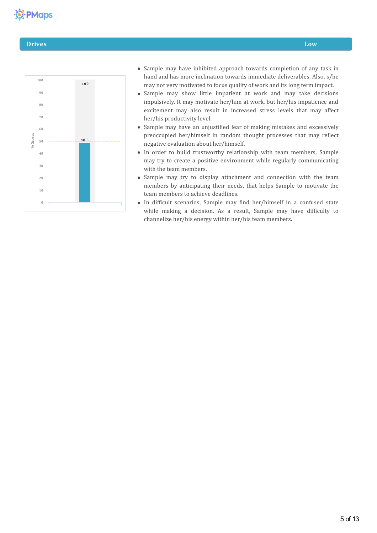# **卷 PMaps**

### **Drives Low**



- Sample may have inhibited approach towards completion of any task in hand and has more inclination towards immediate deliverables. Also, s/he may not very motivated to focus quality of work and its long term impact.
- Sample may show little impatient at work and may take decisions impulsively. It may motivate her/him at work, but her/his impatience and excitement may also result in increased stress levels that may affect her/his productivity level.
- Sample may have an unjustified fear of making mistakes and excessively preoccupied her/himself in random thought processes that may reflect negative evaluation about her/himself.
- In order to build trustworthy relationship with team members, Sample may try to create a positive environment while regularly communicating with the team members.
- Sample may try to display attachment and connection with the team members by anticipating their needs, that helps Sample to motivate the team members to achieve deadlines.
- In difficult scenarios, Sample may find her/himself in a confused state while making a decision. As a result, Sample may have difficulty to channelize her/his energy within her/his team members.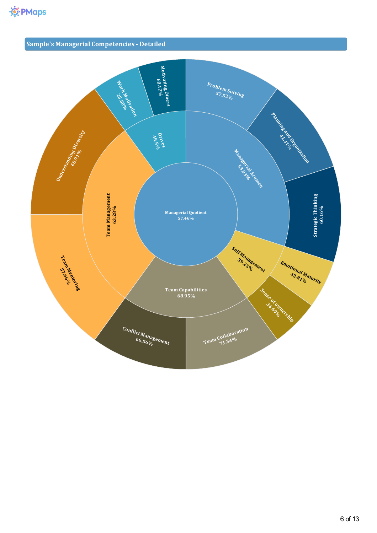# **Sample's Managerial Competencies- Detailed**

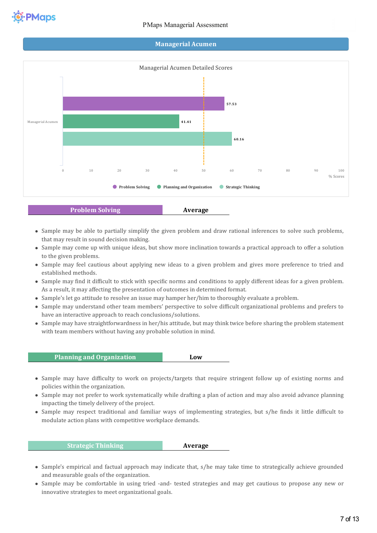

### **Managerial Acumen**



- Sample may be able to partially simplify the given problem and draw rational inferences to solve such problems,
- that may result in sound decision making. Sample may come up with unique ideas, but show more inclination towards a practical approach to offer a solution to the given problems.
- Sample may feel cautious about applying new ideas to a given problem and gives more preference to tried and established methods.
- Sample may find it difficult to stick with specific norms and conditions to apply different ideas for a given problem. As a result, it may affecting the presentation of outcomes in determined format.
- Sample's let go attitude to resolve an issue may hamper her/him to thoroughly evaluate a problem.
- Sample may understand other team members' perspective to solve difficult organizational problems and prefers to have an interactive approach to reach conclusions/solutions.
- Sample may have straightforwardness in her/his attitude, but may think twice before sharing the problem statement with team members without having any probable solution in mind.

## **Planning and Organization Low**

- Sample may have difficulty to work on projects/targets that require stringent follow up of existing norms and policies within the organization.
- Sample may not prefer to work systematically while drafting a plan of action and may also avoid advance planning impacting the timely delivery of the project.
- Sample may respect traditional and familiar ways of implementing strategies, but s/he finds it little difficult to modulate action plans with competitive workplace demands.

**Strategic Thinking Average**

- Sample's empirical and factual approach may indicate that, s/he may take time to strategically achieve grounded and measurable goals of the organization.
- Sample may be comfortable in using tried -and- tested strategies and may get cautious to propose any new or innovative strategies to meet organizational goals.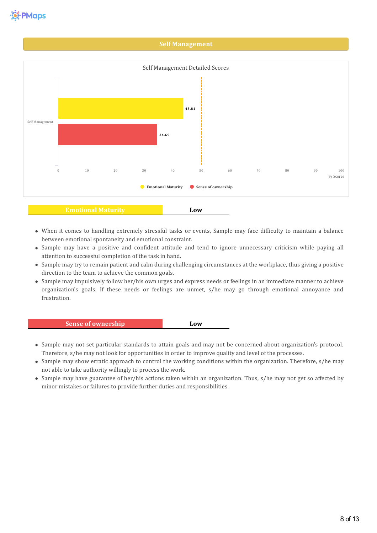#### **Self Management**



- When it comes to handling extremely stressful tasks or events, Sample may face difficulty to maintain a balance between emotional spontaneity and emotional constraint.
- Sample may have a positive and confident attitude and tend to ignore unnecessary criticism while paying all attention to successful completion of the task in hand.
- Sample may try to remain patient and calm during challenging circumstances at the workplace, thus giving a positive direction to the team to achieve the common goals.
- Sample may impulsively follow her/his own urges and express needs or feelings in an immediate manner to achieve organization's goals. If these needs or feelings are unmet, s/he may go through emotional annoyance and frustration.

# **Sense of ownership Low**

- Sample may not set particular standards to attain goals and may not be concerned about organization's protocol. Therefore, s/he may not look for opportunities in order to improve quality and level of the processes.
- Sample may show erratic approach to control the working conditions within the organization. Therefore, s/he may not able to take authority willingly to process the work.
- Sample may have guarantee of her/his actions taken within an organization. Thus, s/he may not get so affected by minor mistakes or failures to provide further duties and responsibilities.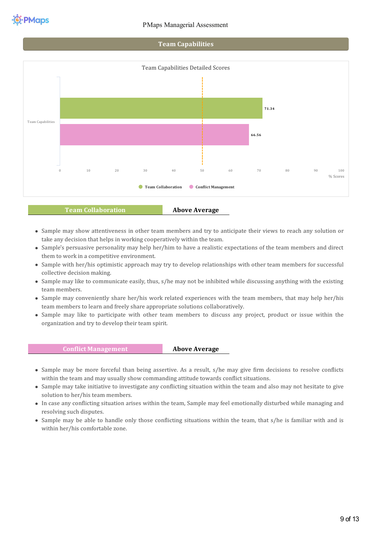





#### **Team Collaboration Above Average**

- Sample may show attentiveness in other team members and try to anticipate their views to reach any solution or take any decision that helps in working cooperatively within the team.
- Sample's persuasive personality may help her/him to have a realistic expectations of the team members and direct them to work in a competitive environment.
- Sample with her/his optimistic approach may try to develop relationships with other team members for successful collective decision making.
- Sample may like to communicate easily, thus, s/he may not be inhibited while discussing anything with the existing team members.
- Sample may conveniently share her/his work related experiences with the team members, that may help her/his team members to learn and freely share appropriate solutions collaboratively.
- Sample may like to participate with other team members to discuss any project, product or issue within the organization and try to develop their team spirit.

#### **Conflict Management Above Average**

- Sample may be more forceful than being assertive. As a result, s/he may give firm decisions to resolve conflicts within the team and may usually show commanding attitude towards conflict situations.
- Sample may take initiative to investigate any conflicting situation within the team and also may not hesitate to give solution to her/his team members.
- In case any con4licting situation arises within the team, Sample may feel emotionally disturbed while managing and resolving such disputes.
- Sample may be able to handle only those conflicting situations within the team, that s/he is familiar with and is within her/his comfortable zone.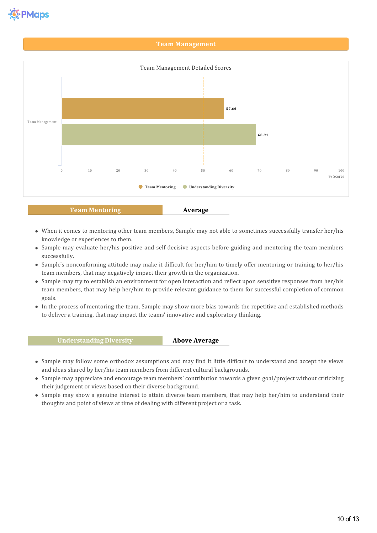

#### **Team Management**



#### **Team Mentoring Average**

- When it comes to mentoring other team members, Sample may not able to sometimes successfully transfer her/his knowledge or experiences to them.
- Sample may evaluate her/his positive and self decisive aspects before guiding and mentoring the team members successfully.
- Sample's nonconforming attitude may make it difficult for her/him to timely offer mentoring or training to her/his team members, that may negatively impact their growth in the organization.
- Sample may try to establish an environment for open interaction and reflect upon sensitive responses from her/his team members, that may help her/him to provide relevant guidance to them for successful completion of common goals.
- In the process of mentoring the team, Sample may show more bias towards the repetitive and established methods to deliver a training, that may impact the teams' innovative and exploratory thinking.

#### **Understanding Diversity Above Average**

- Sample may follow some orthodox assumptions and may find it little difficult to understand and accept the views and ideas shared by her/his team members from different cultural backgrounds.
- Sample may appreciate and encourage team members' contribution towards a given goal/project without criticizing their judgement or views based on their diverse background.
- Sample may show a genuine interest to attain diverse team members, that may help her/him to understand their thoughts and point of views at time of dealing with different project or a task.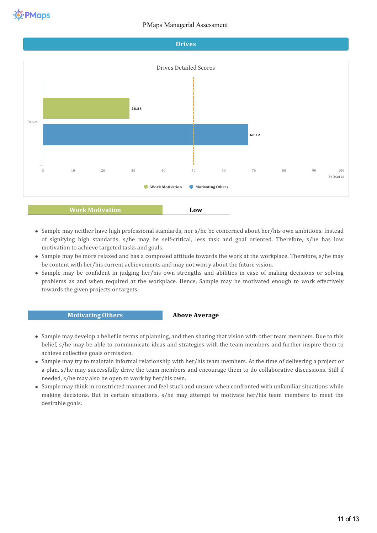

- Sample may neither have high professional standards, nor s/he be concerned about her/his own ambitions. Instead of signifying high standards, s/he may be self-critical, less task and goal oriented. Therefore, s/he has low motivation to achieve targeted tasks and goals.
- Sample may be more relaxed and has a composed attitude towards the work at the workplace. Therefore, s/he may be content with her/his current achievements and may not worry about the future vision.
- Sample may be confident in judging her/his own strengths and abilities in case of making decisions or solving problems as and when required at the workplace. Hence, Sample may be motivated enough to work effectively towards the given projects or targets.

#### **Motivating Others Above Average**

- Sample may develop a belief in terms of planning, and then sharing that vision with other team members. Due to this belief, s/he may be able to communicate ideas and strategies with the team members and further inspire them to achieve collective goals or mission.
- Sample may try to maintain informal relationship with her/his team members. At the time of delivering a project or a plan, s/he may successfully drive the team members and encourage them to do collaborative discussions. Still if needed, s/he may also be open to work by her/his own.
- Sample may think in constricted manner and feel stuck and unsure when confronted with unfamiliarsituations while making decisions. But in certain situations, s/he may attempt to motivate her/his team members to meet the desirable goals.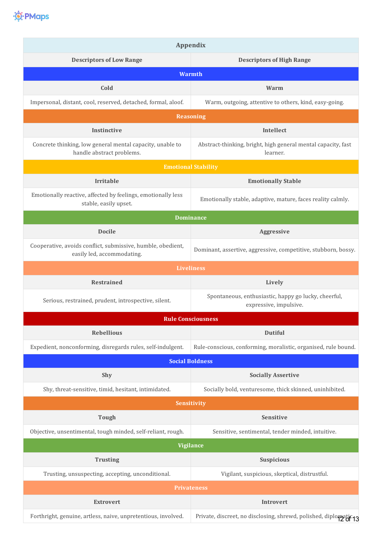

| <b>Appendix</b>                                                                           |                                                                                |  |  |
|-------------------------------------------------------------------------------------------|--------------------------------------------------------------------------------|--|--|
| <b>Descriptors of Low Range</b>                                                           | <b>Descriptors of High Range</b>                                               |  |  |
| <b>Warmth</b>                                                                             |                                                                                |  |  |
| Cold                                                                                      | Warm                                                                           |  |  |
| Impersonal, distant, cool, reserved, detached, formal, aloof.                             | Warm, outgoing, attentive to others, kind, easy-going.                         |  |  |
|                                                                                           | <b>Reasoning</b>                                                               |  |  |
| Instinctive                                                                               | Intellect                                                                      |  |  |
| Concrete thinking, low general mental capacity, unable to<br>handle abstract problems.    | Abstract-thinking, bright, high general mental capacity, fast<br>learner.      |  |  |
|                                                                                           | <b>Emotional Stability</b>                                                     |  |  |
| <b>Irritable</b>                                                                          | <b>Emotionally Stable</b>                                                      |  |  |
| Emotionally reactive, affected by feelings, emotionally less<br>stable, easily upset.     | Emotionally stable, adaptive, mature, faces reality calmly.                    |  |  |
| <b>Dominance</b>                                                                          |                                                                                |  |  |
| <b>Docile</b>                                                                             | Aggressive                                                                     |  |  |
| Cooperative, avoids conflict, submissive, humble, obedient,<br>easily led, accommodating. | Dominant, assertive, aggressive, competitive, stubborn, bossy.                 |  |  |
|                                                                                           | <b>Liveliness</b>                                                              |  |  |
| <b>Restrained</b>                                                                         | Lively                                                                         |  |  |
| Serious, restrained, prudent, introspective, silent.                                      | Spontaneous, enthusiastic, happy go lucky, cheerful,<br>expressive, impulsive. |  |  |
|                                                                                           | <b>Rule Consciousness</b>                                                      |  |  |
| <b>Rebellious</b>                                                                         | <b>Dutiful</b>                                                                 |  |  |
| Expedient, nonconforming, disregards rules, self-indulgent.                               | Rule-conscious, conforming, moralistic, organised, rule bound.                 |  |  |
| <b>Social Boldness</b>                                                                    |                                                                                |  |  |
| Shy                                                                                       | <b>Socially Assertive</b>                                                      |  |  |
| Shy, threat-sensitive, timid, hesitant, intimidated.                                      | Socially bold, venturesome, thick skinned, uninhibited.                        |  |  |
| Sensitivity                                                                               |                                                                                |  |  |
| <b>Tough</b>                                                                              | Sensitive                                                                      |  |  |
| Objective, unsentimental, tough minded, self-reliant, rough.                              | Sensitive, sentimental, tender minded, intuitive.                              |  |  |
| <b>Vigilance</b>                                                                          |                                                                                |  |  |
| <b>Trusting</b>                                                                           | <b>Suspicious</b>                                                              |  |  |
| Trusting, unsuspecting, accepting, unconditional.                                         | Vigilant, suspicious, skeptical, distrustful.                                  |  |  |
| <b>Privateness</b>                                                                        |                                                                                |  |  |
| <b>Extrovert</b>                                                                          | <b>Introvert</b>                                                               |  |  |
| Forthright, genuine, artless, naive, unpretentious, involved.                             | Private, discreet, no disclosing, shrewd, polished, diplomatic 13              |  |  |